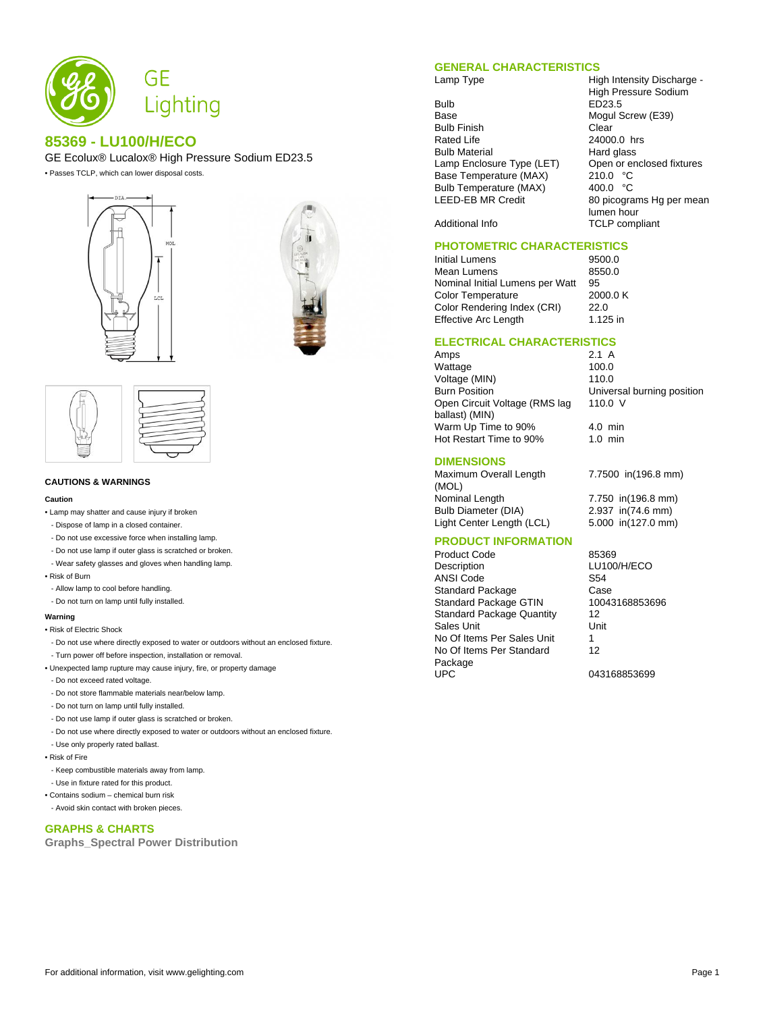

# **85369 - LU100/H/ECO**

GE Ecolux® Lucalox® High Pressure Sodium ED23.5

• Passes TCLP, which can lower disposal costs.







### **CAUTIONS & WARNINGS**

#### **Caution**

- Lamp may shatter and cause injury if broken
- Dispose of lamp in a closed container.
- Do not use excessive force when installing lamp.
- Do not use lamp if outer glass is scratched or broken.
- Wear safety glasses and gloves when handling lamp.
- Risk of Burn
- Allow lamp to cool before handling.
- Do not turn on lamp until fully installed.

#### **Warning**

- Risk of Electric Shock
- Do not use where directly exposed to water or outdoors without an enclosed fixture. - Turn power off before inspection, installation or removal.
- Unexpected lamp rupture may cause injury, fire, or property damage
- Do not exceed rated voltage.
- Do not store flammable materials near/below lamp.
- Do not turn on lamp until fully installed.
- Do not use lamp if outer glass is scratched or broken.
- Do not use where directly exposed to water or outdoors without an enclosed fixture.
- Use only properly rated ballast.
- Risk of Fire
- Keep combustible materials away from lamp.
- Use in fixture rated for this product.
- Contains sodium chemical burn risk
- Avoid skin contact with broken pieces.

## **GRAPHS & CHARTS**

**Graphs\_Spectral Power Distribution**

## **GENERAL CHARACTERISTICS**

- Bulb ED23.5<br>Base Mogul S Bulb Finish Clear<br>Rated Life 24000 Bulb Material **Hard glass** Lamp Enclosure Type (LET) Open or enclosed fixtures<br>Base Temperature (MAX) 210.0 °C Base Temperature (MAX) 210.0 °C<br>Bulb Temperature (MAX) 400.0 °C Bulb Temperature (MAX)<br>LEED-EB MR Credit
- Lamp Type **High Intensity Discharge -**High Pressure Sodium Mogul Screw (E39) 24000.0 hrs 80 picograms Hg per mean lumen hour Additional Info TCLP compliant

#### **PHOTOMETRIC CHARACTERISTICS**

Initial Lumens<br>
Mean Lumens<br>
8550.0 Mean Lumens Nominal Initial Lumens per Watt 95<br>Color Temperature 2000.0 K Color Temperature Color Rendering Index (CRI) 22.0<br>Effective Arc Length 1.125 in Effective Arc Length

110.0 V

## **ELECTRICAL CHARACTERISTICS**

Amps 2.1 A Wattage 100.0<br>Voltage (MIN) 110.0 Voltage (MIN) Burn Position Universal burning position Open Circuit Voltage (RMS lag ballast) (MIN) Warm Up Time to 90% 4.0 min<br>Hot Restart Time to 90% 1.0 min Hot Restart Time to 90%

**DIMENSIONS**

Maximum Overall Length (MOL) Nominal Length 7.750 in(196.8 mm) Bulb Diameter (DIA) 2.937 in(74.6 mm) Light Center Length (LCL) 5.000 in(127.0 mm)

7.7500 in(196.8 mm)

## **PRODUCT INFORMATION**

Product Code 85369 Description LU100/H/ECO<br>ANSI Code S54 ANSI Code Standard Package Case<br>
Standard Package GTIN 10043168853696 Standard Package GTIN Standard Package Quantity 12 Sales Unit Unit No Of Items Per Sales Unit 1 No Of Items Per Standard Package<br>UPC

12

043168853699